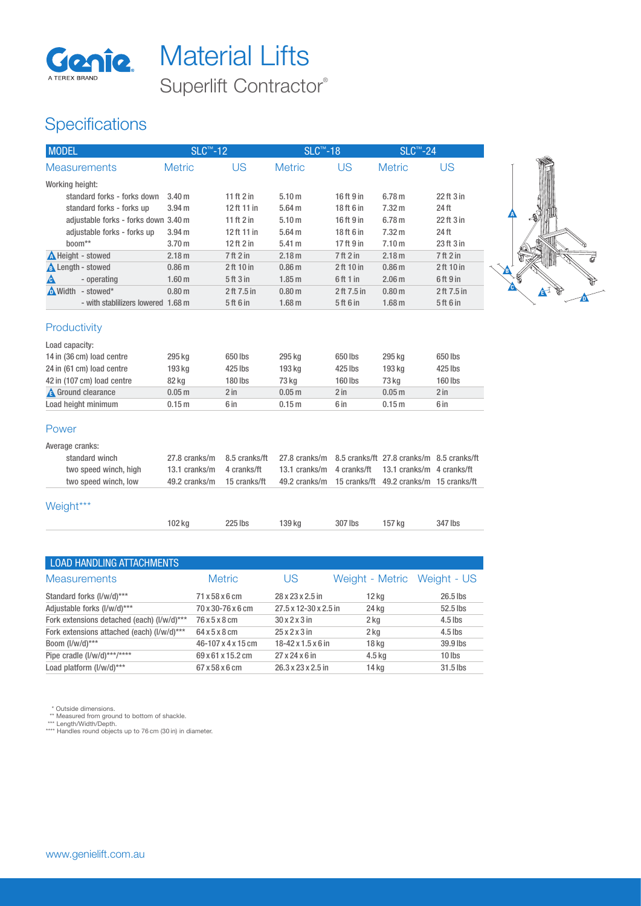

# Superlift Contractor® Genie. Material Lifts

### **Specifications**

| <b>MODEL</b>                                     |                                      | SLC <sup>™</sup> -12                   |                | <b>SLC™-18</b>                         |                | <b>SLC™-24</b>                            |                   |
|--------------------------------------------------|--------------------------------------|----------------------------------------|----------------|----------------------------------------|----------------|-------------------------------------------|-------------------|
| <b>Measurements</b>                              |                                      | <b>Metric</b>                          | US             | <b>Metric</b>                          | <b>US</b>      | <b>Metric</b>                             | <b>US</b>         |
| Working height:                                  |                                      |                                        |                |                                        |                |                                           |                   |
|                                                  | standard forks - forks down          | 3.40 <sub>m</sub>                      | 11 ft 2 in     | 5.10 <sub>m</sub>                      | 16 ft 9 in     | 6.78 <sub>m</sub>                         | 22 ft 3 in        |
|                                                  | standard forks - forks up            | 3.94 <sub>m</sub>                      | 12 ft 11 in    | 5.64 <sub>m</sub>                      | 18 ft 6 in     | 7.32 m                                    | 24 ft             |
|                                                  | adjustable forks - forks down 3.40 m |                                        | 11 $ft2in$     | 5.10 <sub>m</sub>                      | 16 ft 9 in     | 6.78 <sub>m</sub>                         | 22 ft 3 in        |
|                                                  | adjustable forks - forks up          | 3.94 <sub>m</sub>                      | 12 ft 11 in    | 5.64 <sub>m</sub>                      | 18 ft 6 in     | 7.32 <sub>m</sub>                         | 24 ft             |
| boom**                                           |                                      | 3.70 m                                 | 12 ft 2 in     | 5.41 <sub>m</sub>                      | 17 ft 9 in     | 7.10 <sub>m</sub>                         | 23 ft 3 in        |
| Height - stowed                                  |                                      | 2.18 <sub>m</sub>                      | 7 ft 2 in      | 2.18 <sub>m</sub>                      | $7$ ft $2$ in  | 2.18 <sub>m</sub>                         | 7 ft 2 in         |
| <b>A</b> Length - stowed                         |                                      | 0.86 <sub>m</sub>                      | 2 ft 10 in     | 0.86 <sub>m</sub>                      | 2 ft 10 in     | 0.86 <sub>m</sub>                         | 2 ft 10 in        |
| Δ                                                | - operating                          | 1.60 <sub>m</sub>                      | 5 ft 3 in      | 1.85 <sub>m</sub>                      | 6ft1in         | 2.06 <sub>m</sub>                         | $6$ ft $9$ in     |
| $\bigwedge$ Width - stowed*                      |                                      | 0.80 <sub>m</sub>                      | 2 ft 7.5 in    | 0.80 <sub>m</sub>                      | 2 ft 7.5 in    | 0.80 <sub>m</sub>                         | 2 ft 7.5 in       |
|                                                  | - with stablilizers lowered 1.68 m   |                                        | 5 ft 6 in      | 1.68 <sub>m</sub>                      | 5 ft 6 in      | 1.68 <sub>m</sub>                         | 5 ft 6 in         |
| Productivity<br>Load capacity:                   |                                      |                                        |                |                                        |                |                                           |                   |
| 14 in (36 cm) load centre                        |                                      | 295 kg                                 | 650 lbs        | 295 kg                                 | 650 lbs        | 295 kg                                    | 650 lbs           |
| 24 in (61 cm) load centre                        |                                      | 193 kg                                 | 425 lbs        | 193 kg                                 | 425 lbs        | 193 kg                                    | 425 lbs           |
| 42 in (107 cm) load centre                       |                                      | 82 kg                                  | 180 lbs        | 73 kg                                  | 160 lbs        | 73 kg                                     | 160 lbs<br>$2$ in |
| <b>A</b> Ground clearance<br>Load height minimum |                                      | 0.05 <sub>m</sub><br>0.15 <sub>m</sub> | $2$ in<br>6 in | 0.05 <sub>m</sub><br>0.15 <sub>m</sub> | $2$ in<br>6 in | 0.05 <sub>m</sub><br>0.15 <sub>m</sub>    | 6 in              |
|                                                  |                                      |                                        |                |                                        |                |                                           |                   |
| Power                                            |                                      |                                        |                |                                        |                |                                           |                   |
| Average cranks:                                  |                                      |                                        |                |                                        |                |                                           |                   |
| standard winch                                   |                                      | 27.8 cranks/m                          | 8.5 cranks/ft  | 27.8 cranks/m                          |                | 8.5 cranks/ft 27.8 cranks/m 8.5 cranks/ft |                   |
|                                                  | two speed winch, high                | 13.1 cranks/m                          | 4 cranks/ft    | 13.1 cranks/m                          | 4 cranks/ft    | 13.1 cranks/m 4 cranks/ft                 |                   |
|                                                  | two speed winch, low                 | 49.2 cranks/m                          | 15 cranks/ft   | 49.2 cranks/m                          |                | 15 cranks/ft 49.2 cranks/m 15 cranks/ft   |                   |
| Weight***                                        |                                      |                                        |                |                                        |                |                                           |                   |
|                                                  |                                      | 102 kg                                 | 225 lbs        | 139 kg                                 | 307 lbs        | 157 kg                                    | 347 lbs           |

 $\mathbf{F}$ 

| <b>LOAD HANDLING ATTACHMENTS</b>           |                    |                                  |                             |           |
|--------------------------------------------|--------------------|----------------------------------|-----------------------------|-----------|
| <b>Measurements</b>                        | <b>Metric</b>      | US                               | Weight - Metric Weight - US |           |
| Standard forks (I/w/d)***                  | 71 x 58 x 6 cm     | 28 x 23 x 2.5 in                 | $12$ kg                     | 26.5 lbs  |
| Adjustable forks (I/w/d)***                | 70 x 30-76 x 6 cm  | 27.5 x 12-30 x 2.5 in            | 24 kg                       | 52.5 lbs  |
| Fork extensions detached (each) (I/w/d)*** | 76 x 5 x 8 cm      | $30x2x3$ in                      | 2 kg                        | $4.5$ lbs |
| Fork extensions attached (each) (I/w/d)*** | 64 x 5 x 8 cm      | $25 \times 2 \times 3$ in        | $2$ kg                      | $4.5$ lbs |
| Boom (I/w/d)***                            | 46-107 x 4 x 15 cm | $18 - 42 \times 1.5 \times 6$ in | 18 <sub>kg</sub>            | 39.9 lbs  |
| Pipe cradle (I/w/d)***/****                | 69 x 61 x 15.2 cm  | $27 \times 24 \times 6$ in       | $4.5$ kg                    | $10$ lbs  |
| Load platform (I/w/d)***                   | 67 x 58 x 6 cm     | $26.3 \times 23 \times 2.5$ in   | 14 ka                       | 31.5 lbs  |
|                                            |                    |                                  |                             |           |

\* Outside dimensions. \*\* Measured from ground to bottom of shackle. \*\*\* Length/Width/Depth. \*\*\*\* Handles round objects up to 76 cm (30 in) in diameter.